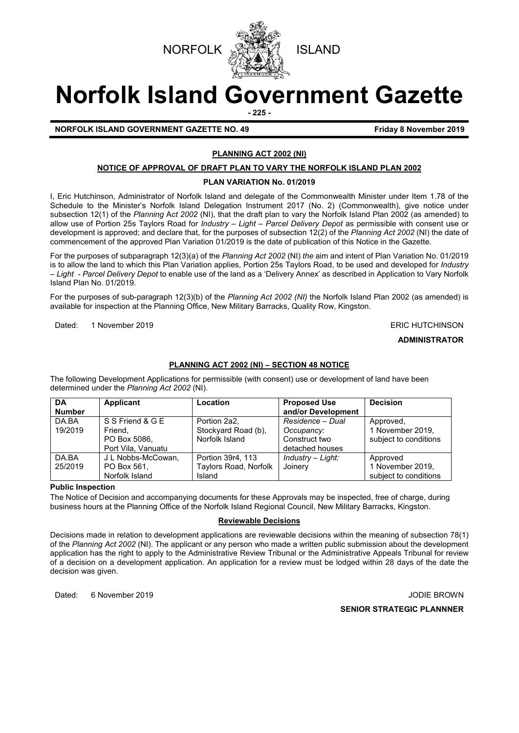



# **Norfolk Island Government Gazette**

**- 225 -**

### **NORFOLK ISLAND GOVERNMENT GAZETTE NO. 49 Friday 8 November 2019**

### **PLANNING ACT 2002 (NI)**

#### **NOTICE OF APPROVAL OF DRAFT PLAN TO VARY THE NORFOLK ISLAND PLAN 2002**

#### **PLAN VARIATION No. 01/2019**

I, Eric Hutchinson, Administrator of Norfolk Island and delegate of the Commonwealth Minister under Item 1.78 of the Schedule to the Minister's Norfolk Island Delegation Instrument 2017 (No. 2) (Commonwealth), give notice under subsection 12(1) of the *Planning* A*ct 2002* (NI), that the draft plan to vary the Norfolk Island Plan 2002 (as amended) to allow use of Portion 25s Taylors Road for *Industry – Light – Parcel Delivery Depot* as permissible with consent use or development is approved; and declare that, for the purposes of subsection 12(2) of the *Planning Act 2002* (NI) the date of commencement of the approved Plan Variation 01/2019 is the date of publication of this Notice in the Gazette.

For the purposes of subparagraph 12(3)(a) of the *Planning Act 2002* (NI) *the* aim and intent of Plan Variation No. 01/2019 is to allow the land to which this Plan Variation applies, Portion 25s Taylors Road, to be used and developed for *Industry – Light - Parcel Delivery Depot* to enable use of the land as a 'Delivery Annex' as described in Application to Vary Norfolk Island Plan No. 01/2019.

For the purposes of sub-paragraph 12(3)(b) of the *Planning Act 2002 (NI)* the Norfolk Island Plan 2002 (as amended) is available for inspection at the Planning Office, New Military Barracks, Quality Row, Kingston.

Dated: 1 November 2019 **ERIC HUTCHINSON** 

#### **ADMINISTRATOR**

#### **PLANNING ACT 2002 (NI) – SECTION 48 NOTICE**

The following Development Applications for permissible (with consent) use or development of land have been determined under the *Planning Act 2002* (NI).

| <b>DA</b><br><b>Number</b> | Applicant                                                         | Location                                              | <b>Proposed Use</b><br>and/or Development                          | <b>Decision</b>                                        |
|----------------------------|-------------------------------------------------------------------|-------------------------------------------------------|--------------------------------------------------------------------|--------------------------------------------------------|
| DA.BA<br>19/2019           | S S Friend & G E<br>Friend.<br>PO Box 5086.<br>Port Vila, Vanuatu | Portion 2a2.<br>Stockyard Road (b),<br>Norfolk Island | Residence - Dual<br>Occupancy:<br>Construct two<br>detached houses | Approved,<br>1 November 2019.<br>subject to conditions |
| DA.BA<br>25/2019           | J L Nobbs-McCowan,<br>PO Box 561.<br>Norfolk Island               | Portion 39r4, 113<br>Taylors Road, Norfolk<br>Island  | Industry – Light:<br>Joinery                                       | Approved<br>1 November 2019.<br>subject to conditions  |

#### **Public Inspection**

The Notice of Decision and accompanying documents for these Approvals may be inspected, free of charge, during business hours at the Planning Office of the Norfolk Island Regional Council, New Military Barracks, Kingston.

#### **Reviewable Decisions**

Decisions made in relation to development applications are reviewable decisions within the meaning of subsection 78(1) of the *Planning Act 2002* (NI). The applicant or any person who made a written public submission about the development application has the right to apply to the Administrative Review Tribunal or the Administrative Appeals Tribunal for review of a decision on a development application. An application for a review must be lodged within 28 days of the date the decision was given.

Dated: 6 November 2019 JODIE BROWN

**SENIOR STRATEGIC PLANNNER**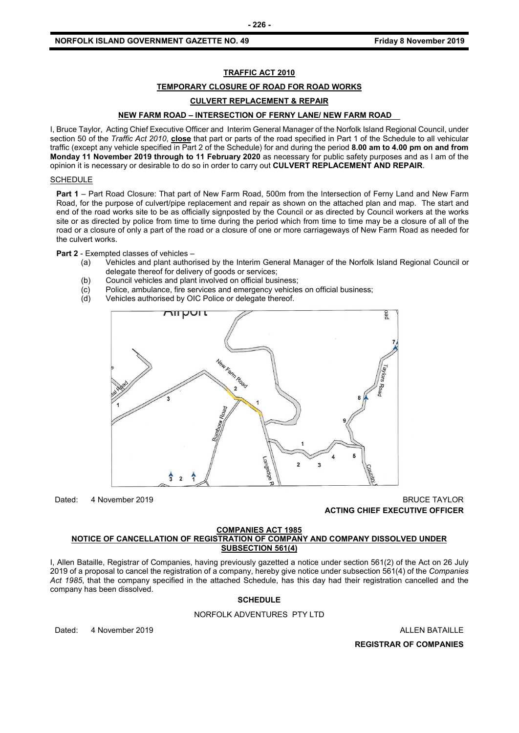#### **NORFOLK ISLAND GOVERNMENT GAZETTE NO. 49** *CONSERVERTHERS FRIDAY 6 AMONG STATE STATES STATES ARRALLY STATES STATES*

#### **TRAFFIC ACT 2010**

#### **TEMPORARY CLOSURE OF ROAD FOR ROAD WORKS**

#### **CULVERT REPLACEMENT & REPAIR**

#### **NEW FARM ROAD – INTERSECTION OF FERNY LANE/ NEW FARM ROAD**

I, Bruce Taylor, Acting Chief Executive Officer and Interim General Manager of the Norfolk Island Regional Council, under section 50 of the *Traffic Act 2010*, **close** that part or parts of the road specified in Part 1 of the Schedule to all vehicular traffic (except any vehicle specified in Part 2 of the Schedule) for and during the period **8.00 am to 4.00 pm on and from Monday 11 November 2019 through to 11 February 2020** as necessary for public safety purposes and as I am of the opinion it is necessary or desirable to do so in order to carry out **CULVERT REPLACEMENT AND REPAIR**.

#### **SCHEDULE**

**Part 1** – Part Road Closure: That part of New Farm Road, 500m from the Intersection of Ferny Land and New Farm Road, for the purpose of culvert/pipe replacement and repair as shown on the attached plan and map. The start and end of the road works site to be as officially signposted by the Council or as directed by Council workers at the works site or as directed by police from time to time during the period which from time to time may be a closure of all of the road or a closure of only a part of the road or a closure of one or more carriageways of New Farm Road as needed for the culvert works.

**Part 2** - Exempted classes of vehicles –

- (a) Vehicles and plant authorised by the Interim General Manager of the Norfolk Island Regional Council or delegate thereof for delivery of goods or services;
- (b) Council vehicles and plant involved on official business;
- (c) Police, ambulance, fire services and emergency vehicles on official business;
- (d) Vehicles authorised by OIC Police or delegate thereof.



#### Dated: 4 November 2019 BRUCE TAYLOR **ACTING CHIEF EXECUTIVE OFFICER**

#### **COMPANIES ACT 1985**

#### **NOTICE OF CANCELLATION OF REGISTRATION OF COMPANY AND COMPANY DISSOLVED UNDER SUBSECTION 561(4)**

I, Allen Bataille, Registrar of Companies, having previously gazetted a notice under section 561(2) of the Act on 26 July 2019 of a proposal to cancel the registration of a company, hereby give notice under subsection 561(4) of the *Companies Act 1985*, that the company specified in the attached Schedule, has this day had their registration cancelled and the company has been dissolved.

#### **SCHEDULE**

#### NORFOLK ADVENTURES PTY LTD

Dated: 4 November 2019 **ALLEN BATAILLE** 

**REGISTRAR OF COMPANIES**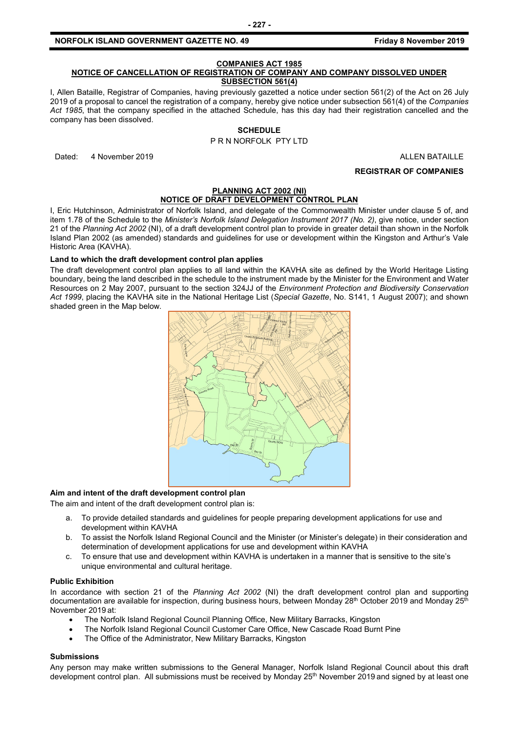#### **NORFOLK ISLAND GOVERNMENT GAZETTE NO. 49** *CONSERVERTHERS FRIDAY 6 AMONG STATE STATES STATES ARRALLY STATES STATES*

#### **COMPANIES ACT 1985**

#### **NOTICE OF CANCELLATION OF REGISTRATION OF COMPANY AND COMPANY DISSOLVED UNDER SUBSECTION 561(4)**

I, Allen Bataille, Registrar of Companies, having previously gazetted a notice under section 561(2) of the Act on 26 July 2019 of a proposal to cancel the registration of a company, hereby give notice under subsection 561(4) of the *Companies Act 1985*, that the company specified in the attached Schedule, has this day had their registration cancelled and the company has been dissolved.

#### **SCHEDULE**

P R N NORFOLK PTY LTD

Dated: 4 November 2019 **ALLEN BATAILLE** 

**REGISTRAR OF COMPANIES**

#### **PLANNING ACT 2002 (NI) NOTICE OF DRAFT DEVELOPMENT CONTROL PLAN**

I, Eric Hutchinson, Administrator of Norfolk Island, and delegate of the Commonwealth Minister under clause 5 of, and item 1.78 of the Schedule to the *Minister's Norfolk Island Delegation Instrument 2017 (No. 2)*, give notice, under section 21 of the *Planning Act 2002* (NI), of a draft development control plan to provide in greater detail than shown in the Norfolk Island Plan 2002 (as amended) standards and guidelines for use or development within the Kingston and Arthur's Vale Historic Area (KAVHA).

#### **Land to which the draft development control plan applies**

The draft development control plan applies to all land within the KAVHA site as defined by the World Heritage Listing boundary, being the land described in the schedule to the instrument made by the Minister for the Environment and Water Resources on 2 May 2007, pursuant to the section 324JJ of the *Environment Protection and Biodiversity Conservation Act 1999*, placing the KAVHA site in the National Heritage List (*Special Gazette*, No. S141, 1 August 2007); and shown shaded green in the Map below.



#### **Aim and intent of the draft development control plan**

The aim and intent of the draft development control plan is:

- a. To provide detailed standards and guidelines for people preparing development applications for use and development within KAVHA
- b. To assist the Norfolk Island Regional Council and the Minister (or Minister's delegate) in their consideration and determination of development applications for use and development within KAVHA
- c. To ensure that use and development within KAVHA is undertaken in a manner that is sensitive to the site's unique environmental and cultural heritage.

#### **Public Exhibition**

In accordance with section 21 of the *Planning Act 2002* (NI) the draft development control plan and supporting documentation are available for inspection, during business hours, between Monday 28<sup>th</sup> October 2019 and Monday 25<sup>th</sup> November 2019 at:

- The Norfolk Island Regional Council Planning Office, New Military Barracks, Kingston
- The Norfolk Island Regional Council Customer Care Office, New Cascade Road Burnt Pine
- The Office of the Administrator, New Military Barracks, Kingston

#### **Submissions**

Any person may make written submissions to the General Manager, Norfolk Island Regional Council about this draft development control plan. All submissions must be received by Monday 25<sup>th</sup> November 2019 and signed by at least one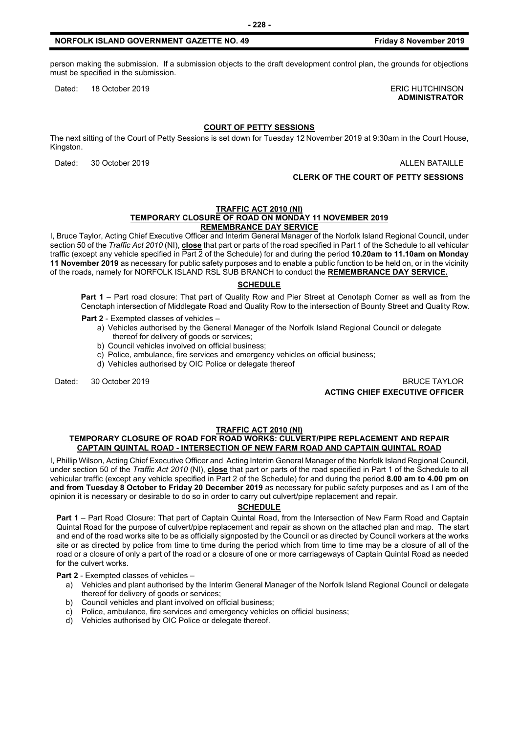person making the submission. If a submission objects to the draft development control plan, the grounds for objections must be specified in the submission.

Dated: 18 October 2019 **ERIC HUTCHINSON** 

#### **COURT OF PETTY SESSIONS**

The next sitting of the Court of Petty Sessions is set down for Tuesday 12 November 2019 at 9:30am in the Court House, Kingston.

Dated: 30 October 2019 **ALLEN BATAILLE** 

**CLERK OF THE COURT OF PETTY SESSIONS**

#### **TRAFFIC ACT 2010 (NI) TEMPORARY CLOSURE OF ROAD ON MONDAY 11 NOVEMBER 2019 REMEMBRANCE DAY SERVICE**

I, Bruce Taylor, Acting Chief Executive Officer and Interim General Manager of the Norfolk Island Regional Council, under section 50 of the *Traffic Act 2010* (NI), **close** that part or parts of the road specified in Part 1 of the Schedule to all vehicular traffic (except any vehicle specified in Part 2 of the Schedule) for and during the period **10.20am to 11.10am on Monday 11 November 2019** as necessary for public safety purposes and to enable a public function to be held on, or in the vicinity of the roads, namely for NORFOLK ISLAND RSL SUB BRANCH to conduct the **REMEMBRANCE DAY SERVICE.**

#### **SCHEDULE**

**Part 1** – Part road closure: That part of Quality Row and Pier Street at Cenotaph Corner as well as from the Cenotaph intersection of Middlegate Road and Quality Row to the intersection of Bounty Street and Quality Row.

**Part 2** - Exempted classes of vehicles –

- a) Vehicles authorised by the General Manager of the Norfolk Island Regional Council or delegate thereof for delivery of goods or services;
- b) Council vehicles involved on official business;
- c) Police, ambulance, fire services and emergency vehicles on official business;
- d) Vehicles authorised by OIC Police or delegate thereof
- 

Dated: 30 October 2019 BRUCE TAYLOR **ACTING CHIEF EXECUTIVE OFFICER**

#### **TRAFFIC ACT 2010 (NI)**

#### **TEMPORARY CLOSURE OF ROAD FOR ROAD WORKS: CULVERT/PIPE REPLACEMENT AND REPAIR CAPTAIN QUINTAL ROAD - INTERSECTION OF NEW FARM ROAD AND CAPTAIN QUINTAL ROAD**

I, Phillip Wilson, Acting Chief Executive Officer and Acting Interim General Manager of the Norfolk Island Regional Council, under section 50 of the *Traffic Act 2010* (NI), **close** that part or parts of the road specified in Part 1 of the Schedule to all vehicular traffic (except any vehicle specified in Part 2 of the Schedule) for and during the period **8.00 am to 4.00 pm on and from Tuesday 8 October to Friday 20 December 2019** as necessary for public safety purposes and as I am of the opinion it is necessary or desirable to do so in order to carry out culvert/pipe replacement and repair.

#### **SCHEDULE**

**Part 1** – Part Road Closure: That part of Captain Quintal Road, from the Intersection of New Farm Road and Captain Quintal Road for the purpose of culvert/pipe replacement and repair as shown on the attached plan and map. The start and end of the road works site to be as officially signposted by the Council or as directed by Council workers at the works site or as directed by police from time to time during the period which from time to time may be a closure of all of the road or a closure of only a part of the road or a closure of one or more carriageways of Captain Quintal Road as needed for the culvert works.

#### **Part 2** - Exempted classes of vehicles –

- a) Vehicles and plant authorised by the Interim General Manager of the Norfolk Island Regional Council or delegate thereof for delivery of goods or services;
- b) Council vehicles and plant involved on official business;
- c) Police, ambulance, fire services and emergency vehicles on official business;
- d) Vehicles authorised by OIC Police or delegate thereof.

## **ADMINISTRATOR**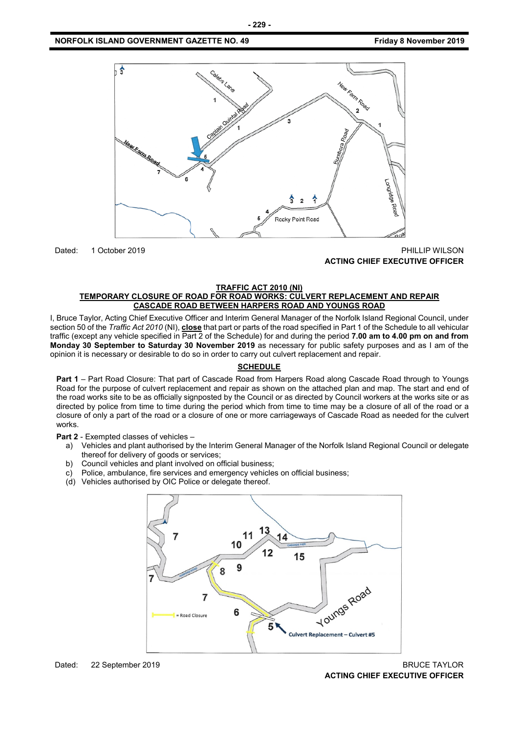

Dated: 1 October 2019 PHILLIP WILSON **ACTING CHIEF EXECUTIVE OFFICER**

#### **TRAFFIC ACT 2010 (NI) TEMPORARY CLOSURE OF ROAD FOR ROAD WORKS: CULVERT REPLACEMENT AND REPAIR CASCADE ROAD BETWEEN HARPERS ROAD AND YOUNGS ROAD**

I, Bruce Taylor, Acting Chief Executive Officer and Interim General Manager of the Norfolk Island Regional Council, under section 50 of the *Traffic Act 2010* (NI), **close** that part or parts of the road specified in Part 1 of the Schedule to all vehicular traffic (except any vehicle specified in Part 2 of the Schedule) for and during the period **7.00 am to 4.00 pm on and from Monday 30 September to Saturday 30 November 2019** as necessary for public safety purposes and as I am of the opinion it is necessary or desirable to do so in order to carry out culvert replacement and repair.

#### **SCHEDULE**

**Part 1** – Part Road Closure: That part of Cascade Road from Harpers Road along Cascade Road through to Youngs Road for the purpose of culvert replacement and repair as shown on the attached plan and map. The start and end of the road works site to be as officially signposted by the Council or as directed by Council workers at the works site or as directed by police from time to time during the period which from time to time may be a closure of all of the road or a closure of only a part of the road or a closure of one or more carriageways of Cascade Road as needed for the culvert works.

**Part 2** - Exempted classes of vehicles –

- a) Vehicles and plant authorised by the Interim General Manager of the Norfolk Island Regional Council or delegate thereof for delivery of goods or services;
- b) Council vehicles and plant involved on official business;
- c) Police, ambulance, fire services and emergency vehicles on official business;
- (d) Vehicles authorised by OIC Police or delegate thereof.

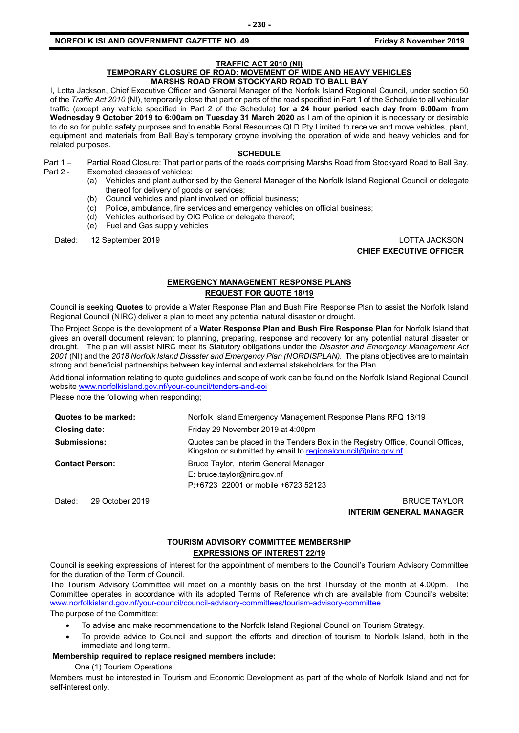#### **NORFOLK ISLAND GOVERNMENT GAZETTE NO. 49** *CONSERVERTHERS FRIDAY 6 AMONG STATE STATES STATES ARRALLY STATES STATES*

#### **TRAFFIC ACT 2010 (NI)**

#### **TEMPORARY CLOSURE OF ROAD: MOVEMENT OF WIDE AND HEAVY VEHICLES MARSHS ROAD FROM STOCKYARD ROAD TO BALL BAY**

I, Lotta Jackson, Chief Executive Officer and General Manager of the Norfolk Island Regional Council, under section 50 of the *Traffic Act 2010* (NI), temporarily close that part or parts of the road specified in Part 1 of the Schedule to all vehicular traffic (except any vehicle specified in Part 2 of the Schedule) **for a 24 hour period each day from 6:00am from Wednesday 9 October 2019 to 6:00am on Tuesday 31 March 2020** as I am of the opinion it is necessary or desirable to do so for public safety purposes and to enable Boral Resources QLD Pty Limited to receive and move vehicles, plant, equipment and materials from Ball Bay's temporary groyne involving the operation of wide and heavy vehicles and for related purposes.

#### **SCHEDULE**

- Part 1 Partial Road Closure: That part or parts of the roads comprising Marshs Road from Stockyard Road to Ball Bay. Part 2 - Exempted classes of vehicles:
	- (a) Vehicles and plant authorised by the General Manager of the Norfolk Island Regional Council or delegate thereof for delivery of goods or services;
	- (b) Council vehicles and plant involved on official business;
	- (c) Police, ambulance, fire services and emergency vehicles on official business;
	- (d) Vehicles authorised by OIC Police or delegate thereof;
	- (e) Fuel and Gas supply vehicles

Dated: 12 September 2019 LOTTA JACKSON

**CHIEF EXECUTIVE OFFICER**

#### **EMERGENCY MANAGEMENT RESPONSE PLANS REQUEST FOR QUOTE 18/19**

Council is seeking **Quotes** to provide a Water Response Plan and Bush Fire Response Plan to assist the Norfolk Island Regional Council (NIRC) deliver a plan to meet any potential natural disaster or drought.

The Project Scope is the development of a **Water Response Plan and Bush Fire Response Plan** for Norfolk Island that gives an overall document relevant to planning, preparing, response and recovery for any potential natural disaster or drought. The plan will assist NIRC meet its Statutory obligations under the *Disaster and Emergency Management Act*  2001 (NI) and the 2018 Norfolk Island Disaster and Emergency Plan (NORDISPLAN). The plans objectives are to maintain strong and beneficial partnerships between key internal and external stakeholders for the Plan.

Additional information relating to quote guidelines and scope of work can be found on the Norfolk Island Regional Council websit[e www.norfolkisland.gov.nf/your-council/tenders-and-eoi](http://www.norfolkisland.gov.nf/your-council/tenders-and-eoi)

Please note the following when responding;

| Quotes to be marked:      | Norfolk Island Emergency Management Response Plans RFQ 18/19                                                                                        |  |
|---------------------------|-----------------------------------------------------------------------------------------------------------------------------------------------------|--|
| <b>Closing date:</b>      | Friday 29 November 2019 at 4:00pm                                                                                                                   |  |
| <b>Submissions:</b>       | Quotes can be placed in the Tenders Box in the Registry Office, Council Offices,<br>Kingston or submitted by email to regional council @nirc.gov.nf |  |
| <b>Contact Person:</b>    | Bruce Taylor, Interim General Manager<br>$E:$ bruce.taylor@nirc.gov.nf<br>P:+6723 22001 or mobile +6723 52123                                       |  |
| 29 October 2019<br>Dated: | <b>BRUCE TAYLOR</b>                                                                                                                                 |  |

**INTERIM GENERAL MANAGER**

#### **TOURISM ADVISORY COMMITTEE MEMBERSHIP EXPRESSIONS OF INTEREST 22/19**

Council is seeking expressions of interest for the appointment of members to the Council's Tourism Advisory Committee for the duration of the Term of Council.

The Tourism Advisory Committee will meet on a monthly basis on the first Thursday of the month at 4.00pm. The Committee operates in accordance with its adopted Terms of Reference which are available from Council's website: [www.norfolkisland.gov.nf/your-council/council-advisory-committees/tourism-advisory-committee](http://www.norfolkisland.gov.nf/your-council/council-advisory-committees/tourism-advisory-committee)

The purpose of the Committee:

- To advise and make recommendations to the Norfolk Island Regional Council on Tourism Strategy.
- To provide advice to Council and support the efforts and direction of tourism to Norfolk Island, both in the immediate and long term.

#### **Membership required to replace resigned members include:**

One (1) Tourism Operations

Members must be interested in Tourism and Economic Development as part of the whole of Norfolk Island and not for self-interest only.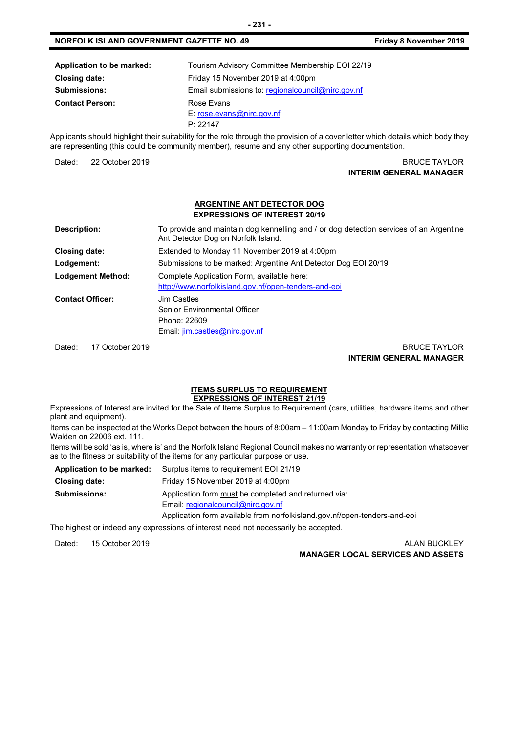| Application to be marked: | Tourism Advisory Committee Membership EOI 22/19     |
|---------------------------|-----------------------------------------------------|
| <b>Closing date:</b>      | Friday 15 November 2019 at 4:00pm                   |
| <b>Submissions:</b>       | Email submissions to: regional council @nirc.gov.nf |
| <b>Contact Person:</b>    | Rose Fyans                                          |
|                           | E: rose.evans@nirc.gov.nf                           |
|                           | P: 22147                                            |

Applicants should highlight their suitability for the role through the provision of a cover letter which details which body they are representing (this could be community member), resume and any other supporting documentation.

Dated: 22 October 2019 BRUCE TAYLOR **INTERIM GENERAL MANAGER**

#### **ARGENTINE ANT DETECTOR DOG EXPRESSIONS OF INTEREST 20/19**

| Description:             | To provide and maintain dog kennelling and / or dog detection services of an Argentine<br>Ant Detector Dog on Norfolk Island. |
|--------------------------|-------------------------------------------------------------------------------------------------------------------------------|
| Closing date:            | Extended to Monday 11 November 2019 at 4:00pm                                                                                 |
| Lodgement:               | Submissions to be marked: Argentine Ant Detector Dog EOI 20/19                                                                |
| <b>Lodgement Method:</b> | Complete Application Form, available here:<br>http://www.norfolkisland.gov.nf/open-tenders-and-eoi                            |
| <b>Contact Officer:</b>  | Jim Castles<br>Senior Environmental Officer<br>Phone: 22609<br>Email: jim.castles@nirc.gov.nf                                 |

Dated: 17 October 2019 BRUCE TAYLOR **INTERIM GENERAL MANAGER**

#### **ITEMS SURPLUS TO REQUIREMENT EXPRESSIONS OF INTEREST 21/19**

Expressions of Interest are invited for the Sale of Items Surplus to Requirement (cars, utilities, hardware items and other plant and equipment).

Items can be inspected at the Works Depot between the hours of 8:00am – 11:00am Monday to Friday by contacting Millie Walden on 22006 ext. 111.

Items will be sold 'as is, where is' and the Norfolk Island Regional Council makes no warranty or representation whatsoever as to the fitness or suitability of the items for any particular purpose or use.

|                     | <b>Application to be marked:</b> Surplus items to requirement EOI 21/19   |
|---------------------|---------------------------------------------------------------------------|
| Closing date:       | Friday 15 November 2019 at 4:00pm                                         |
| <b>Submissions:</b> | Application form must be completed and returned via:                      |
|                     | Email: regionalcouncil@nirc.gov.nf                                        |
|                     | Application form available from norfolkisland.gov.nf/open-tenders-and-eoi |
|                     |                                                                           |

The highest or indeed any expressions of interest need not necessarily be accepted.

Dated: 15 October 2019 ALAN BUCKLEY

**MANAGER LOCAL SERVICES AND ASSETS**